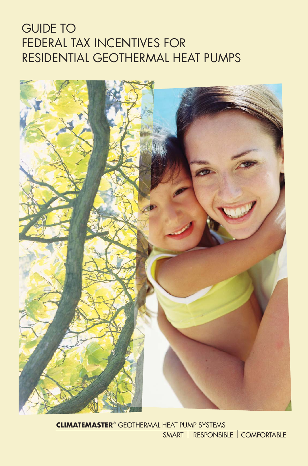# GUIDE TO FEDERAL TAX INCENTIVES FOR RESIDENTIAL GEOTHERMAL HEAT PUMPS



**CLIMATEMASTER**® GEOTHERMAL HEAT PUMP SYSTEMS

SMART RESPONSIBLE COMFORTABLE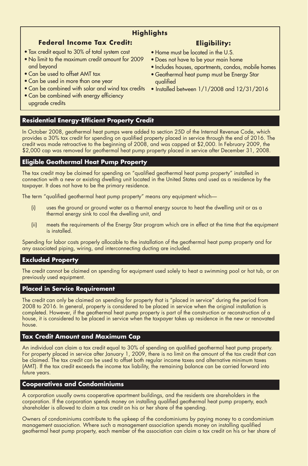# **Highlights**

# **Federal Income Tax Credit:**

- Tax credit equal to 30% of total system cost
- No limit to the maximum credit amount for 2009 and beyond
- Can be used to offset AMT tax
- Can be used in more than one year
- Can be combined with solar and wind tax credits
- Can be combined with energy efficiency upgrade credits

# **Residential Energy-Efficient Property Credit**

In October 2008, geothermal heat pumps were added to section 25D of the Internal Revenue Code, which provides a 30% tax credit for spending on qualified property placed in service through the end of 2016. The credit was made retroactive to the beginning of 2008, and was capped at \$2,000. In February 2009, the \$2,000 cap was removed for geothermal heat pump property placed in service after December 31, 2008.

# **Eligible Geothermal Heat Pump Property**

The tax credit may be claimed for spending on "qualified geothermal heat pump property" installed in connection with a new or existing dwelling unit located in the United States and used as a residence by the taxpayer. It does not have to be the primary residence.

The term "qualified geothermal heat pump property" means any equipment which—

- (i) uses the ground or ground water as a thermal energy source to heat the dwelling unit or as a thermal energy sink to cool the dwelling unit, and
- (ii) meets the requirements of the Energy Star program which are in effect at the time that the equipment is installed.

Spending for labor costs properly allocable to the installation of the geothermal heat pump property and for any associated piping, wiring, and interconnecting ducting are included.

## **Excluded Property**

The credit cannot be claimed on spending for equipment used solely to heat a swimming pool or hot tub, or on previously used equipment.

### **Placed in Service Requirement**

The credit can only be claimed on spending for property that is "placed in service" during the period from 2008 to 2016. In general, property is considered to be placed in service when the original installation is completed. However, if the geothermal heat pump property is part of the construction or reconstruction of a house, it is considered to be placed in service when the taxpayer takes up residence in the new or renovated house.

## **Tax Credit Amount and Maximum Cap**

An individual can claim a tax credit equal to 30% of spending on qualified geothermal heat pump property. For property placed in service after January 1, 2009, there is no limit on the amount of the tax credit that can be claimed. The tax credit can be used to offset both regular income taxes and alternative minimum taxes (AMT). If the tax credit exceeds the income tax liability, the remaining balance can be carried forward into future years.

## **Cooperatives and Condominiums**

A corporation usually owns cooperative apartment buildings, and the residents are shareholders in the corporation. If the corporation spends money on installing qualified geothermal heat pump property, each shareholder is allowed to claim a tax credit on his or her share of the spending.

Owners of condominiums contribute to the upkeep of the condominiums by paying money to a condominium management association. Where such a management association spends money on installing qualified geothermal heat pump property, each member of the association can claim a tax credit on his or her share of

# **Eligibility:**

- Home must be located in the U.S.
- Does not have to be your main home
- Includes houses, apartments, condos, mobile homes
- Geothermal heat pump must be Energy Star qualified
- Installed between 1/1/2008 and 12/31/2016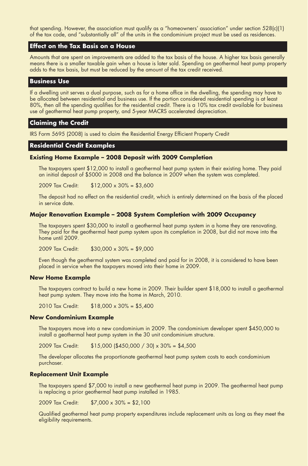that spending. However, the association must qualify as a "homeowners' association" under section 528(c)(1) of the tax code, and "substantially all" of the units in the condominium project must be used as residences.

### **Effect on the Tax Basis on a House**

Amounts that are spent on improvements are added to the tax basis of the house. A higher tax basis generally means there is a smaller taxable gain when a house is later sold. Spending on geothermal heat pump property adds to the tax basis, but must be reduced by the amount of the tax credit received.

#### **Business Use**

If a dwelling unit serves a dual purpose, such as for a home office in the dwelling, the spending may have to be allocated between residential and business use. If the portion considered residential spending is at least 80%, then all the spending qualifies for the residential credit. There is a 10% tax credit available for business use of geothermal heat pump property, and 5-year MACRS accelerated depreciation.

#### **Claiming the Credit**

IRS Form 5695 (2008) is used to claim the Residential Energy Efficient Property Credit

#### **Residential Credit Examples**

#### **Existing Home Example – 2008 Deposit with 2009 Completion**

The taxpayers spent \$12,000 to install a geothermal heat pump system in their existing home. They paid an initial deposit of \$5000 in 2008 and the balance in 2009 when the system was completed.

2009 Tax Credit: \$12,000 x 30% = \$3,600

The deposit had no effect on the residential credit, which is entirely determined on the basis of the placed in service date.

#### **Major Renovation Example – 2008 System Completion with 2009 Occupancy**

The taxpayers spent \$30,000 to install a geothermal heat pump system in a home they are renovating. They paid for the geothermal heat pump system upon its completion in 2008, but did not move into the home until 2009.

2009 Tax Credit: \$30,000 x 30% = \$9,000

Even though the geothermal system was completed and paid for in 2008, it is considered to have been placed in service when the taxpayers moved into their home in 2009.

#### **New Home Example**

The taxpayers contract to build a new home in 2009. Their builder spent \$18,000 to install a geothermal heat pump system. They move into the home in March, 2010.

2010 Tax Credit: \$18,000 x 30% = \$5,400

#### **New Condominium Example**

The taxpayers move into a new condominium in 2009. The condominium developer spent \$450,000 to install a geothermal heat pump system in the 30 unit condominium structure.

2009 Tax Credit: \$15,000 (\$450,000 / 30) x 30% = \$4,500

The developer allocates the proportionate geothermal heat pump system costs to each condominium purchaser.

#### **Replacement Unit Example**

The taxpayers spend \$7,000 to install a new geothermal heat pump in 2009. The geothermal heat pump is replacing a prior geothermal heat pump installed in 1985.

2009 Tax Credit: \$7,000 x 30% = \$2,100

Qualified geothermal heat pump property expenditures include replacement units as long as they meet the eligibility requirements.